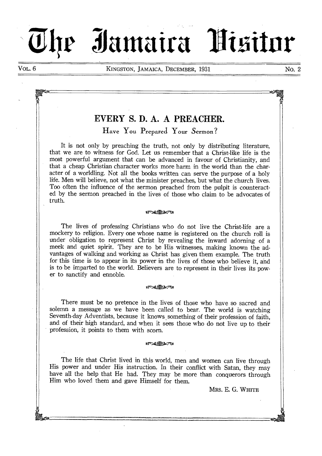# **011r "kunaira -**

VOL. 6 KINGSTON, JAMAICA, DECEMBER, 1931 NO. 2

# **EVERY S. D. A. A PREACHER.**

Have You Prepared Your Sermon?

It is not only by preaching the truth, not only by distributing literature, that we are to witness for God. Let us remember that a Christ-like life is the most powerful argument that can be advanced in favour of Christianity, and that a cheap Christian character works more harm in the world than the character of a worldling. Not all the books written can serve the purpose of a holy life. Men will believe, not what the minister preaches, but what the church lives. Too often the influence of the sermon preached from the pulpit is counteracted by the sermon preached in the lives of those who claim to be advocates of truth.

# sgra,,Tv—mit

The lives of professing Christians who do not live the Christ-life are a mockery to religion. Every one whose name is registered on the church roll is under obligation to represent Christ by revealing the inward adorning of a meek and quiet spirit. They are to be His witnesses, making known the advantages of walking and working as Christ has given them example. The truth for this time is to appear in its power in the lives of those who believe it, and is to be imparted to the world. Believers are to represent in their lives its power to sanctify and ennoble.

## $a \rightarrow a \rightarrow a$

There must be no pretence in the lives of those who have so sacred and solemn a message as we have been called to bear. The world is watching Seventh-day Adventists, because it knows something of their profession of faith, and of their high standard, and when it sees those who do not live up to their profession, it points to them with scorn.

### $15 - 100$

The life that Christ lived in this world, men and women can live through His power and under His instruction. In their conflict with Satan, they may have all the help that He had. They may be more than conquerors through Him who loved them and gave Himself for them.

MRS. E. G. WHITE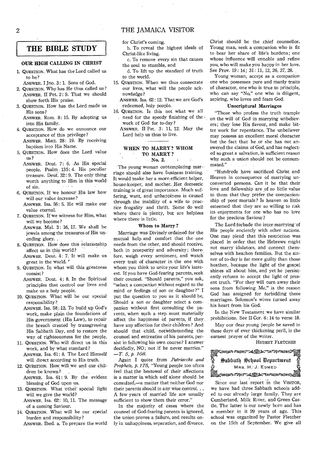# 2 THE JAMAICA VISITOR

for Christ's coming.

- b. To reveal the highest ideals of Christ-like living.
- c. To remove every sin that causes the soul to stumble, and
- d. To lift up the standard of truth to the world.
- 15. QUESTION. When we thus consecrate our lives, what will the people acknowledge?
	- ANSWER. Isa. 62 : 12. That we are God's redeemed, holy people.
- 16. QUESTION. Is this not what we all need for the speedy finishing of the work of God for to-day?
	- ANSWER. II Pet. 3: 11, 12. May the Lord help us thus to live.

# WHEN TO MARRY? WHOM TO MARRY ?

No. 2.

The young woman contemplating marriage should also have business training. It would make her a more efficient helper, house-keeper, and mother. Her domestic training is of great importance. Much suffering, want, and unhappiness is caused through the inability of a wife to practice frugality and thrift. Some do well where there is plenty, but are helpless where there is little.

### Whom to Marry?

Marriage was Divinely ordained for the mutual help and comfort that the one needs from the other, and should receive, both in prosperity and adversity; therefore, weigh every sentiment, and watch every trait of character in the one with whom you think to unite your life's interest. If you have God-fearing parents, seek their counsel. "Should parents," you ask, "select a companion without regard to the mind or feelings of son or daughter ?" I put the question to you as it should be, Should a son or daughter select a companion without first consulting the parents, when such a step must materially affect the happiness of parents, if they have any affection for their children? And should that child, notwithstanding the counsel and entreaties of his parents, persist in following his own course? I answer decidedly, NO; not if he never marries."  $-T.5, p. 108.$ 

Again quote from *Patriarchs and Prophets, p. 175.,* "Young people, too, often feel that the bestowal of, their affections is a matter in which self alone should , be consulted,-a matter that neither God nor their parents should in any wise control.. . A few years of married life are usually sufficient to show them their error."

In the majority of cases where the counsel of God-fearing parents is ignored, the union proves a failure, and results only in unhappiness, separation, and divorce.

Christ should be the chief counsellor. Young man, seek a companion who is fit to bear her share of life's burdens ; one whose influence will ennoble and refine you, who will make you happy in her love. See Prov. 19: 14; 31: 11, 12, 26, 27, 28.

Young woman, accept as a companion one who possesses pure and manly traits of character, one who is true to principle, who can say "No," one who is diligent, aspiring, who loves and fears God.

#### Unscriptural Marriages

"Those who profess the truth trample on the will of God in marrying unbelievers; they lose His favour, and make bitter work for repentance. The unbeliever may possess an excellent moral character but the fact that he or she has not answered the claims of God, and has neglected so great a salvation, is sufficient reason why such a union should not be consummated."

"Hundreds have sacrificed Christ and Heaven in consequence of marrying unconverted persons. Can it be that their love and fellowship are of so little value to them that they préfer the companionship of poor mortals? Is heaven so little esteemed that they are so willing to risk its enjoyments for one who has no love for the precious Saviour?

The Lord forbade the inter-marrying 'of His people anciently with other nations. 'One may plead that this restriction was placed in order that the Hebrews might not marry idolators, and connect themselves with heathen families. But the sinner of to-day is far more guilty than those heathen, because the light of the gospel shines all about him, and yet he persistently *refuses* to accept the light *of* present truth. "For they will turn away their sons from following Me," is the reason God has assigned for forbidding these marriages. Solomon's wives turned away his heart from his God.

In the New Testament we have similar prohibitions. See II Cor. 6:14 to verse 18.

May our dear young people be saved in these days of ever thickening peril, is the earnest prayer of the writer.

HUBERT FLETCHER



Since our last report in the VISITOR. we have had three Sabbath schools added to our already large family. They are Cumberland, Milk River, and Green Castle. The latter is our newly born and has a member in it 99 years of age. This school was organized by Pastor Fletcher on the 15th of September. We give all

# **THE BIBLE STUDY**

# OUR HIGH CALLING IN CHRIST

- 1. QUESTION. What has the Lord called us to be?
- ANSWER. I Jno. 3: 1. Sons of God.
- 2. QUESTION. Why has He thus called us? ANSWER. II Pet. 2: 9. That we should show forth His praise.
- 3. QUESTION. How has the Lord made us His sons?

ANSWER. Rom. 8: 15. By adopting us into His family.

- 4. QUESTION. How do we announce our acceptance of this privilege?
	- ANSWER. Matt. 28: 19. By receiving baptism into His Name.
- 5. QUESTION. How does the Lord value us?
	- ANSWER. Deut. 7: 6. As His special people. Psalm 135: 4. His peculiar treasure. Deut. 32: 9. The only thing worth anything to Him in this world  $\alpha$  ,  $\alpha$  ,  $\alpha$ of sin.
- 6. QUESTION. If we honour His law how will our value increase? ANSWER. Isa. 56: 5. He will make our

value eternal.

- 7. QUESTION. If we witness for Him, what will we become?
	- ANSWER. Mal. 3: 16, 17. We shall be jewels among the treasures of His unending glory. ,
- 8. QUESTION. How does this relationship affect us in this world? ANSWER. Deut. 4: 7. It will make us
- great in the world. '
- 9. QUESTION. In what will this greatness consist?

ANSWER. Deut. 4: 8. In the Spiritual principles that control our lives and make us a holy people.

10. QUESTION. What will be our special responsibility ?

ANSWER. Isa. 58:12. To build up God's work, make plain the foundations of His government (His Law), to repair the breach created by transgressing His Sabbath Day, and to restore the way of righteousness for the people.

- 11. QUESTION. Who will direct us in this work, and by what standard? ANSWER. Isa. 61: 8. The Lord Himself will direct according to His truth.
- 12. QUESTION. HOW will we and our children be known? ANSWER. Isa. 61: 9. By the evident
- blessing of God upon us. 13. QUESTION. What 'other' special light
- will we give the world? ANSWER. Isa. 62: 10, 11. The message of a coming Saviour.
- 14. QUESTION. What will be our special burden and responsibility? ANSWER. Ibed. a. To prepare the world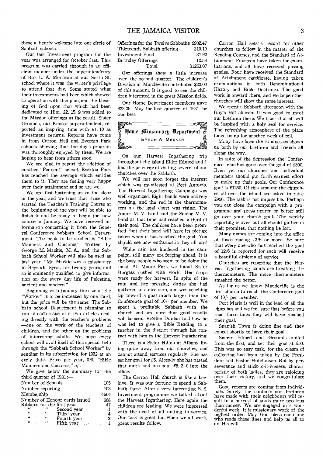these a hearty welcome into our circle of Sabbath schools.

Our last Investment program for the year was arranged for October 31st. This program was carried through in an efficient manner under the superintendency of Bro. L. A. Morrison at our North St. school where it was the writer's privilege to attend that day. Some stated what their investments had been which showed co-operation with this plan, and the blessing of God upon that which had been dedicated to Him. £2. 15. 9 was added to the Mission offerings as the result. Sister Grounds, our Kencot superintendent, reported an inspiring time with £1. 10 as investment returns. Reports have come in from Carron Hall and Everton Park schools showing that the day's program was thoroughly enjoyed by them. We are hoping to hear from others soon.

We are glad to report the addition of another "Pennant" school. Everton Park has reached the average which entitles them to it. They are feeling very happy over their attainment and so are we.

We are fast hastening on to the close of the year, and we trust that those who started the Teacher's Training Course at the beginning of the year will be able to finish it and be ready to begin the new course in January. We have received information concerning it from the General Conference Sabbath School Department. The book to be studied is "Bible Manners and Customs," written by George M. Mackie, M. A., and the Sabbath School Worker will also be used as last year. "Mr. Mackie was a missionary in Beyruth, Syria, for twenty years, and so is eminently qualified to give information on the every day life of Palestine, ancient and modern."

Beginning with January the size of the "Worker" is to be increased by one third, but the price will be the same. The Sabbath school Department is planning to run in each issue of it two articles dealing directly with the teacher's problems —one on the work of the teachers of children, and the other on the problems of interesting adults. We hope every school will avail itself of this special help through the "Sabbath School Worker" by sending in its subscription for 1932 at an early date. Price per year, 3/9. "Bible Manners and Customs," 5/-.

We give below the summary for the third quarter of 1931:—

| Number of Schools   | 105        |                               |                |
|---------------------|------------|-------------------------------|----------------|
| Number reporting    |            |                               | 103            |
| Membership          |            |                               | 4504           |
|                     |            | Number of Honour cards issued | 668            |
|                     |            | Ribbons for the first year    | 47             |
| $\epsilon$          | 66         | Second year                   | 11             |
| 66                  | "          | Third year                    | 4              |
| $\mathcal{L}^{(0)}$ | 66         | Fourth year                   | $\overline{2}$ |
| $\epsilon$          | $\epsilon$ | Fifth year                    |                |
|                     |            |                               |                |

| Offerings for the Twelve Sabbaths \$902.47 |           |
|--------------------------------------------|-----------|
| Thirteenth Sabbath offering                | 310.10    |
| Investment Fund                            | 37.92     |
| Birthdav Offerings                         | 12.58     |
| Total                                      | \$1263.07 |

Our offerings show a little increase over the second quarter. The children's Division at Mandeville contributed \$22.00 of this amount. It is good to see the children interested in the great Mission fields.

Our Home Department members gave \$23.25. May the last quarter of 1931 be our best.

| SMIO <sup>2</sup> | Home Missionary Department | G |
|-------------------|----------------------------|---|
|                   | <b>BYRON A. MEEKER</b>     |   |
|                   |                            |   |

On our Harvest Ingathering trip throughout the island Elder Edmed and I had the privilege of visiting several of our churches over the Sabbath.

We will not soon forget the interest which was manifested at Port Antonio. The Harvest Ingathering Campaign was well organized. Eight bands were actively working, and the red in the thermometers on the goal chart was rising. The Junior M. V. band and the Senior M. V. band at that time had reached a third of their goal. The children have been promised that their band will have its picture taken when it has reached the goal. You should see how enthusiastic they all are!

While rain has hindered in the campaign, still many are forging ahead. It is the busy people who seem to be doing the most. At Moore Park we found Sister Burgess rushed with work. Her crops were ready for harvest. In spite of the rain and her pressing duties she had gathered in a nice sum, and was reaching up toward a goal much larger than the Conference goal of 10/- per member. We spent a profitable Sabbath with the church and are sure that good results will be seen. Brother Dunbar told how he was led to give a Bible Reading to a teacher in the district through his contact with him in the Harvest Ingathering.

There is a Sister Hilton at Albany living quite away from our churches, and cannot attend services regularly. She has set her goal for £5. Already she has passed that mark and has sent £5. 2. 0 into the office.

The Carron Hall church is like a beehive. It was our fortune to spend a Sabbath there. After a very interesting S. S. Investment programme we talked about the Harvest Ingathering. Here again the children are leading. We were impressed with the need of all uniting in service. Our task is great but when we all work, great results follow. •

Carron Hall sets a record for other churches to follow in the matter of the Reading Courses, and the Standard of Attainment. Fourteen have taken the examinations, and all have received passing grades. Four have received the Standard of Attainment certificate, having taken examinations in both Denominational History and Bible Doctrines. The good work is onward there, and we hope other churches will show the same interest.

We spent a Sabbath afternoon with the Guy's Hill church. It was good to meet our brethren there. We trust that all will be inspired with a holy zeal for service. The refreshing atmosphere of the 'place toned us up for another week of toil.

Many have been the kindnesses shown us both by our brethren and friends all along the way.

In spite of the depression the Conference team has gone over the goal af £300. Even yet our churches and individual members should put forth earnest effort to make up their goals. Our Confercnce goal is £1250. Of this amount the churches all over the island are asked to raise £950. The task is not impossible. Perhaps you can close the campaign with a programme and press nearer or better still go over your church goal. The weekly reporting is over but all should gather in their promises, that nothing be lost.

Many names are coming into the office of those raising 12/6 or more. Be sure that every one who has reached the goal of 12/6 is reported for such will receive a beautiful diploma of service.

Churches are reporting that the Harvest Ingathering bands are breaking the thermometers. The more thermometers smashed the better.

As far as we know Mandeville is the first church to reach the Conference goal of 10/- per member.

Port Maria is well in the lead of all the churches and we feel sure that before you read these lines they will have reached their goal.

Spanish Town is doing fine and they expect shortly to have their goal.

Sisters Edmed and Grounds united from the first, and set their goal at £50. This was no easy task, for the cream of collecting had been taken by the President and Pastor Hutchinson. But by perseverance and stick-to-it-iveness, characteristic of both ladies, they are rejoicing over their victory, and we congratulate them.

Good reports are coming from individuals. Surely the contacts our brethren have made with their neighbours will result in a harvest of souls more precious than money. We are engaged in a wonderful work. It is missionary work of the highest order. May God bless each one who reads these lines and help us all to do His will.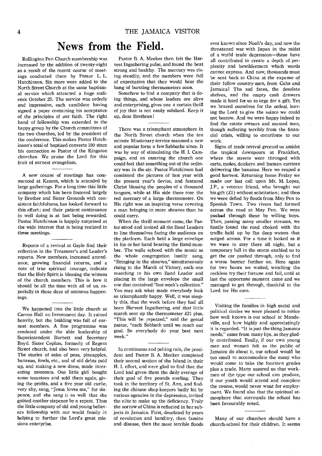# News **from the Field.**

Rollington Pen Church membership was increased by the addition of twenty-eight as a result of the recent course of meetings conducted there by Pastor L. L. Hutchinson. Six more were added to the North Street Church at the same baptismal service which attracted a huge audience October 25. The service was orderly and impressive, each candidate having signed a paper containing his acceptance of the principles of our faith. The right hand of fellowship was extended to the happy group by the Church committees of the two churches, led by the president of the conference. This makes Pastor Hutchinson's total of baptized converts 180 since his connection as Pastor of the Kingston churches. We praise the Lord for this fruit of earnest evangelism.

A new course of meetings has commenced at Kencot, which is attended by large gatherings. For a long time this little company which has been fostered largely by Brother and Sister Grounds with consistent faithfulness, has looked forward to this effort; and their patient continuance in well doing is at last being rewarded. Pastor Hutchinson is happily surprised at the wide interest that is being realized in these meetings.

Reports of a revival at Gayle find their reflection in the Treasurer's and Leader's reports. New members, increased attendance, growing financial returns, and a note of true spiritual courage, indicate that the Holy Spirit is blessing the witness of the church members. This is how it should be all the time with all of us, especially in these days of ominous happenings.

We happened into the little church at Carron Hall on Investment day. It rained heavily, but the building was full of earnest members. A fine programme was rendered under the able leadership of Superintendent Burnett and Secretary Boyd. Sister Cephas, formerly of Regent Street church, had also been very helpful. The stories of sales of peas, pineapples, bananas, fowls, etc., and of old debts paid up, and making a new dress, made interesting moments. One little girl bought some tomatoes and sold them again, giving the profits, and a five year old curlie, very shy, sang, "Jesus loves me," for sixpence, and she sang it so well that she gained another sixpence by a repeat. Thus the little company of old and young believers fellowship with our world family in helping to further the Lord's great missions enterprise.

 $\bar{\epsilon}$ 

Pastor B. A. Meeker then felt the Harvest Ingathering pulse, and found the beat strong and healthy. The mercury was rising steadily, and the members were full of expectation that they would hear the bang of bursting thermometers soon.

Somehow to find a company that is doing things, and whose leaders are alive and enterprising, gives one a certain thrill of joy that is not easily subdued. Keep it up, dear Brethren!

There was a triumphant atmosphere in the North Street church when the ten minute Missionary service assumed a new and popular form a few Sabbaths since. It was by way of stimulating the H. I. Campaign, and on entering the church one could feel that something out of the ordinary was in the air. Pastor Hutchinson had combined the pictures of last year with the present year's device, and featured Christ blessing the peoples of a thousand tongues, while at His side there rose the red mercury of a large thermometer. On His right was an inspiring verse covering a man bringing in more sheaves than he could carry.

When the thrill moment came, the Pastor stood and invited all the Band Leaders to line themselves facing the audience on the platform. Each held a large envelope in his or her hand bearing the Band-number. The walls echoed with the music as the whole congregation lustily sang, "Bringing in the sheaves," simultaneously rising to the March of Victory, each one marching to his own Band Leader and placing in the large envelope the small one that contained "last week's collection." You may ask what made everybody look so triumphantly happy. Well, it was simply this, that the week before they had all been Harvest Ingathering, and that little march sent up the thermometer £21 plus. "This will be repeated," said the genial pastor, "each Sabbath until we reach our goal. So everybody do your best next week."

In continuous and pelting rain, the president and Pastor B. A. Meeker completed their second section of the Island in their H. I. effort, and were glad to find that the Lord had given them the daily average of their goal of five pounds sterling. They took in the territory of St. Ann, and finding the chinese shop-keepers badly hit by various agencies in the depression, invited the elite to make up the deficiency. Truly the sorrow of China is reflected in her subjects in Jamaica. First, desolated by years of revolution and banditry, then famine and disease, then the most terrible floods

ever known since Noah's day, and now the threatened war with Japan in the midst of a world trade depression—these have all contributed to create a depth of perplexity and bewilderment which words cannot express. And now, thousands must be sent back to China at the expense of their fellow country-men, from Cuba and Jamaica! The sad faces, the desolate shelves, and the empty cash drawers made it hard for us to urge for a gift. Yet we braced ourselves for the ordeal, leaving the Lord to give the solace we could not bestow. And we were happy indeed to find the estate owners and monied men, though suffering terribly from the financial crisis, willing to contribute to our work.

Signs of trade revival greeted us amidst the tropical downpours at Frankfort, where the streets were thronged with carts, mules, donkeys and human carriers delivering the bananas. Here we reaped a good harvest. Returning home Friday we made our last call upon Mr. M. Lopez, J.P., a veteran friend, who brought out his gift (£1) without solicitation; and then we were defied by floods from May Pen to Spanish Town. Two rivers had formed across the road at May Pen. We were pushed through these by willing boys. Then, passing many smaller streams, we finally found the road choked with the traffic held up by fhe deep waters that surged across. For a time it looked as if we were to stay there all night, but a temporary lull in the storm enabled us to get the car pushed through, only to find a worse barrier further on. Here again for two hours we waited, watching the reckless try their fortune and fail, until at last the opportune moment came and we managed to get through, thankful to the Lord for His care.

Visiting the families in high social and political circles we were pleased to notice how well known is our school at Mandeville, and how highly and appreciatingly it is regarded. "It is just the thing Jamaica needs," came from many lips, as they gladly contributed. Really, if our own young men and women felt as the public of Jamaica do about it, our school would be too small to accommodate the many who would come to take the fourteen grades plus a trade. Many assured us that workmen of the type our school can produce, if our youth would attend and complete the course, would never want for employment. We found also that the spiritual atmosphere that surrounds the school has been favourably noted.

Many of our churches should have a church-school for their children. It seems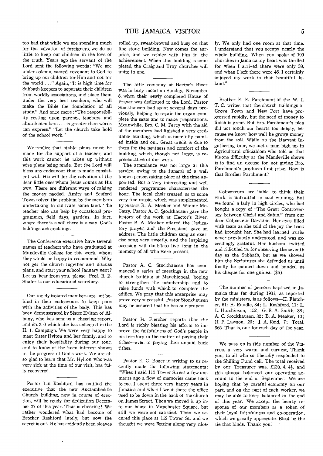too bad that while we are spending much for the salvation of foreigners, we do so little to keep our children in the love of the truth. Years ago the servant of the Lord sent the following words: "We are under solemn, sacred covenant to God to bring up our children for Him and not for the world . ." Again, "It is high time for Sabbath-keepers to separate their children from worldly associations, and place them under the very best teachers, who will make the Bible the foundation of all study." And once more : "The responsibility resting upon parents, teachers and church members ... is greater than words can express." "Let the church take hold of the school work."

 $\mathbf{r}$ 

We realize that stable plans must be made for the support of a teacher, and this work cannot be taken up without wise plans being made. But the Lord will bless any endeavour that is made consistent with His will for the salvation of the dear little ones whom Jesus counts as His own. There are different ways of raising the money needed. Amity and Seaford Town solved the problem by the members undertaking to cultivate some land. The teacher also can help by occasional programmes, field days, gardens. In fact, where there is a will there is a way. God's biddings are enablings.

The Conference executive have several names of teachers who have graduated at Mandeville College for this work, whom they would be happy to recommend. Why not get the church together and discuss plans, and start your school January next ? Let us hear from you, please. Prof. R. E. Shafer is our educational secretary.

Our lonely isolated members are not behind in their endeavours to keep pace with the activities of the body. This has been demonstrated by Sister Hylton of Albany, who has sent us a cheering report, and £5. 2. 0 which she has collected in the H. I. Campaign. We were very happy to meet Sister Hylton and her family, and to enjoy their hospitality during our tour, and to know of the keen interest shown in the progress of God's work. We are also glad to learn that Mr. Hylton, who was very sick at the time of our visit, has fully recovered.

Pastor Lin Rashford has notified the executive that the new Auctembeddie Church building, now in course of erection, will be ready for dedication December 27 of this year. That is cheering! We rather wondered what had become of Brother Rashford lately, but now the secret is out. He has evidently been sleeves

rolled up, sweat-browed and busy on that fine stone building. Now comes the surprise, and we rejoice with him in the achievement. When this building is completed, the Craig and Troy churches will unite in one.

The little company at Hector's River was in busy mood on Sunday, November 8, when their newly completed House of Prayer was dedicated to the Lord. Pastor Stockhausen had spent several days previously, helping to repair the organ complete the seats and to make preparations. Meanwhile, Bro. C. M. Percy with the aid of the members had finished a very creditable building, which is tastefully painted inside and out. Great credit is due to them for the neatness and comfort of the building, which, though not large, is representative of our work.

The attendance was not large at this service, owing to the funeral of a well known person taking place at the time appointed. But a very interesting and well rendered programme characterized the hour. The local choir treated us to some very fine music, which was supplemented by Sisters B. A. Meeker and Winnie Mc-Catty. Pastor A. C. Stockhausen gave the history of the work at Hector's River. Pastor B. A. Meeker offered the Dedicatory prayer, and the President gave an address. The little children sang an exercise song very sweetly, and the inspiring occasion will doubtless live long in the memory of all who were present.

Pastor A. C. Stockhausen has commenced a series of meetings in the new church building at Manchioneal, hoping to strengthen the membership and to raise funds with which to complete the edifice. We pray that this enterprise may prove very successful. Pastor Stockhausen may be assured that he has our prayers.

Pastor H. Fletcher reports that the Lord is richly blessing his efforts to improve the faithfulness *of* God's people in his territory in the matter of paying their tithes—even to paying their unpaid back tithes.

Pastor E. C. Boger in writing to us recently made the following statements: "When I said 112 Tower Street a few moments ago a flow of memories came back to me. I spent three very happy years in Jamaica and when I went there the office used to be down in the back of the church on James Street. Then we moved it up into our house in Manchester Square, but still we were not satisfied. Then we secured this place at 112 Tower St. and we thought we were Zetting along very niceIy. We only had one room at that time. I understand that you occupy nearly the whole building. When you spoke of 100 churches in Jamaica my heart was thrilled for when I arrived there were only 38, and when I left there were 46. I certainly enjoyed my work in that beautiful Island."

Brother E. E. Parchment of the W. I. T. C. writes that the church buildings at Grove Town and New Port have progressed rapidly, but the need of money to finish is great. But Bro. Parchment's plea did not touch our hearts too deeply, because we know how well he *grows* money from the soil. While on the Harvest Ingathering tour, we met a man high up in Agricultural officialdom who told us that his one difficulty at the Mandeville shows is to find an excuse for not giving Bro. Parchment's products first prize. How is that Brother Parchment?

Colporteurs are liable to think their work is unfruitful in soul winning. But we found a lady in high circles, who had bought a copy of "The Great Controversey between Christ and Satan," from our dear Colporteur Dawkins. Her eyes filled with tears as she told of the joy the book had brought her. She had learned truths never previously understood, and was exceedingly grateful. Her husband twitted and ridiculed us for observing the seventh day as the Sabbath, but as we showed him the Scriptures she defended us until finally he calmed down and handed us his cheque for one guinea. (\$5).

The number of persons baptized in Jamaica thus far during 1931, as reported by the ministers, is as follows—H. Fletcher, 61; H. Randle, 34 ; L. Rashford, 11: L. L. Hutchinson, 152; *G.* E. A. Smith; 38 ; A. C. Stockhausen, 32; B. A. Meeker, 10; H. P. Lawson, 20; J. A. Reid, 7; Total, 365. That is, one for each day of the year.

We pass on in this number of the VIS-ITOR, a very warm and earnest, Thank you, to all who so liberally responded to the Shilling Fund call. The total received by our Treasurer was, £130. 4. 4<sup>1</sup>/<sub>2</sub>, and this almost balanced our operating account to the end of September. We are hoping that by careful economy on our part, and on the part of each worker, we may be able to keep balanced to the end of this year. We accept the hearty response of our members as a token of their loyal faithfulness and co-operation, which we greatly appreciate. Blest be the tie that binds. Thank you!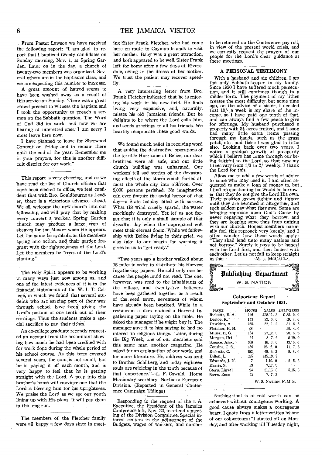From Pastor Lawson we have received the following report: "I am glad to report that I baptized twenty candidates on Sunday morning, Nov. 1, at Spring Garden. Later on in the day, a church of twenty-two members was organized. Several others are in the baptismal class, and we are expecting this number to increase.

A great amount of hatred seems to have been washed away as a result of this service on Sunday. There was a great crowd present to witness the baptism and I took the opportunity to preach a sermon on the Sabbath question. The Word of God did its work, and now we are hearing of interested ones. I am sorry I must leave here now.

I have planned to leave for Sherwood Content on Friday and to remain there until the end of the year. Remember me in your prayers, for this is another difficult district for our work."

This report is very cheering, and as we have read the list of Church officers that have been elected to office, we feel confident that with Bro. Gouldbourne as Leader, there is a victorious advance ahead. We all welcome the new church into our fellowship, and will pray that by making every convert a worker, Spring Garden church may produce a large crop of sheaves for the Master when He appears. Let the name be symbolic as the members spring into action, and their garden fragrant with the righteousness of the Lord. Let the members be "trees of the Lord's planting."

The Holy Spirit appears to be working in many ways just now among us, and one of the latest evidences of it is in the financial statements of the W. I. T. College, in which we found that several students who are earning part of their way through school have been giving the Lord's portion of one tenth out of their earnings. Thus the students make a special sacrifice to pay their tithes.

An ex-college graduate recently requested an account from the accountant showing how much he had been credited with for work done during the whole period of his school course. As this term covered several years, the sum is not small, but he is paying it off each month, and is very happy to feel that he is getting straight with the Lord. A peep into this brother's home will convince one that the Lord is blessing him for his uprightness. We praise the Lord as we see our youth lining up with His plans. It will pay them in the long run.

The members of the Fletcher family were all happy a few days since in meeting Sister Frank Fletcher, who had come here en route to Cayman Islands to visit her mother. Baby was a great attraction, and both appeared to be well. Sister Frank left for home after a few days at Riversdale, owing to the illness of her mother. We trust the patient may recover speedily.

A very interesting letter from Bro. Frank Fletcher indicated that he is enjoying his work in his new field. He finds living very expensive, and, naturally, misses his old Jamaican friends. But he delights to be where the Lord calls him, and sends greetings to all his friends. We heartily reciprocate these good words.

We found much relief in receiving word that amidst the destructive operations of the terrible Hurricane at Belize, our dear , brethren were all safe, and our little church building was unharmed. Our Workers tell sad stories of the devastating effects of the storm which hurled almost the whole city into oblivion. Over 2,000 persons perished. No imagination can ever feature the awful horror of that day-a State holiday filled with sorrow. What the wind cruelly spared, the water mockingly destroyed. Yet let us not forget that it is only a small sample of that dreadful day when the unprepared will meet their eternal doom. 'While we fellowship with Belize living in their grief, we also take to our hearts the warning it gives to us to "get ready."

"Two years ago a brother walked about 15 miles in order to distribute his Harvest Ingathering papers. He sold only one because the, people could not read. The one, however, was read to the inhabitants of the village, and twenty-five believers have been gathered together as a result of the seed sown, seventeen of whom have already been baptized. While in a restaurant a man noticed a Harvest Ingathering paper laying on the table. He asked the manager if he might buy it. The manager gave it to him saying he had no interest in religious things. Later, during the Big Week, one of our members sold this same man another magazine. He asked for an explanation of our work, and for more literature. His address was sent to Brother Schilberg, and today eighteen souls are rejoicing in the truth because of that experience."-L. F. Oswald, Home Missionary secretary, Northern European Division. (Reported in General Conference Campaign Tidings)

Responding to the request of the I. A. Executive, the President of the Jamaica Conference left, Nov. 22, to attend a meeting of the Division Committee. Special interest centers in the adjustment of the Budgets, wages of workers, and number to be retained on the Conference pay roll, in view of the present world crisis, and we earnestly request the prayers of our people for the Lord's clear guidance at these meetings.

#### **A PERSONAL TESTIMONY.**

With a husband and six children, I am the only Sabbath-keeper in my family. Since 1920 I have suffered much persecution, and it still continues though in a milder form. The payment of my tithes creates the most difficulty, but some time ago, on the advice of a sister, I decided that 10/- a week is my share of the income, so I have paid one tenth of that, and can always find a few pence to give for offerings. My husband purchased a property with  $3\frac{1}{2}$  acres fruited, and I soon had many little extra items passing<br>through my hands, such as the grass patch, etc., and these I was glad to tithe also. Looking back over two years, I notice a gradual growth of prosperity which I believe has come through our being faithful to the Lord, so that now my tithes vary from  $1/3$  to  $2/7$  weekly. I thank the Lord for this.

Allow me to add a few words of advice to some who may need it. **I** am often requested to make a loan of money to, but . I find on questioning the would be borrower that they do not give the Lord His own. Their position grows tighter and tighter until they are hemmed in altogether, and such seldom pay what they owe. Some are bringing reproach upon God's Cause by never repaying what they borrow, and they are keeping some thus from uniting with our church. Honest members naturally feel this reproach very keenly, and I often wonder how these words apply : "They shall lend unto many nations and not borrow." Surely it pays to be honest with the Lord first, and then honest with each other. Let us not fail to keep straight<br>in this. M. J. McCallLA. M. J. McCalla.



## **Colporteur Report September and October 1931.**

| <b>NAME</b>     | Hours        | <b>SALES</b> | <b>DELIVERIES</b> |
|-----------------|--------------|--------------|-------------------|
| Ricketts, B. A. | 146          | £28.11.3     | £ 85.0.0          |
| Destoe, K.      | 143          | 22.6.0       | 59.4.0            |
| Dawkins, A.     | $-255-$      | 57.1.0       | 31.6.6            |
| Fletcher, H. H. | 48           |              | 29.4.0            |
| Miller, H. G.   | 184          | 27.12. 0     | 20.5.6            |
| Morgan. Uri     | $61^{\circ}$ | 8, 7, 6      | 5.19.0            |
| Spence, Alex.   | 108          | 16.3.0       | 13.66             |
| Cousins, C.S.   | 180          | 25.2.0       | 11, 7, 3          |
| Ricketts, C.    | 182.         | 40.9.3       | 9, 8, 0           |
| Dillon, L.      | 325          | 145.19.9     |                   |
| Edwards, J. N.  | 7            | 1.10.0       | 2.5.6             |
| Harris, S.      | 39           | $7.17.$ 0    |                   |
| Stern, Linval   | 94           | 21.16.6      | 5.15.6            |
| Stern, Enos     | 22           | 7, 7, 3      |                   |
|                 |              |              |                   |

W. S. NATION, F. M. S.

Nothing that is of real worth can be achieved without courageous working.' A good cause always makes a courageous heart. I quote from a letter written by one of our colporteurs: "I started off on Monday; and after working till Tuesday night,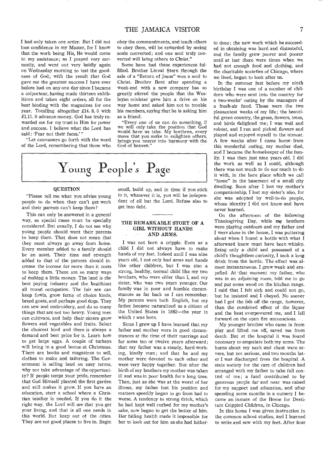I had only taken one order. But I did not lose confidence in my Master, for I know that the work being His, He would come to my assistance; so I prayed very earnestly, and went out very boldly again on Wednesday morning to test the goodness of God; with the result that God gave me the greatest success I have ever before had on any one day since I became a colporteur, having made thirteen exhibitions and taken eight orders, all for the best binding with the magazines for one year. Totalling altogether £14. 8. 0 with £1.11. 0 advance money. God has truly rewarded me for my trust in Him for power and success. I believe what the Lord has said: 'Fear not their faces.'"

"Let canvassers go forth with the word of the Lord, remembering that those who

obey the commandments, and teach others to obey them, will be rewarded by seeing souls converted; and one soul truly converted will bring others to Christ."

Some have had these experiences fulfilled. Brother Linval Stern through the sale of a "Return of Jesus" won a soul to Christ. Brother Bent after spending a week-end with a new company has so greatly stirred the people that the Wesleyan minister gave him a drive on his way home and asked him not to trouble his members, saying that he is asking him as a friend.

"Every one of us can do something, if we will only take the position that God would have us take. My brethren, every move that you make to enlighten others, brings you nearer into harmony with the God of heaven.'



# **QUESTION**

"Please tell me what you advise young people to do when they can't get work and their parents can't keep them?

This can only be answered in a general way, as special cases must be specially considered. But usually, I do not see why young people should want their parents to keep them. That does not mean that they must always go away from home. Every member added to a family should be an asset. Their time and strength added to that of the parents should increase the income far more than it costs to keep them. There are so many ways of making a little money. The land is the best paying industry and the, healthiest all round occupation. The fair sex can keep fowls, grow ferns of choice kinds, breed goats, and perhaps good dogs. They can sew and embroidery, and do so many things that are not too heavy. Young men can cultivate, and help their sisters grow flowers and vegetables and fruits. Select the choicest kind and there is always a demand and best price for it. Learn how to get large eggs. A couple of turkeys will bring in a good bonus at Christmas. There are books and magazines to sell, clothes to make and tailoring. The Government is selling land on easy terms, why not take advantage of the opportunity? If people tempt your pride, remember that God Himself planted the first garden and still makes it grow. If you have an education, start a school where a Christian teacher is needed. If you do it the right way, the Lord will see that you get your living, and that is all one needs in this world. But keep out of the cities. They are not good places to live in. Begin small, build up, and in time if you stick to it, whatever, it is, you will be independent of all but the Lord. Refuse also to get into debt.

# THE REMARKABLE STORY OF A GIRL WITHOUT HANDS AND ARMS.

I was not born a cripple. Even as' a child I did not always have to make hands of my feet. Indeed until I was nine years old, I not only had arms and hands like other children, but I was also a strong, healthy, normal child like my two brothers, who were older than I, and my sister, who was two years younger. Our family was in poor and humble circumstances as far back as I can remember. My parents were both English, but my father became naturalized as a citizen of the United States in 1882—the year in which I was born.

Since I grew up I have learned that my father and mother were in good circumstances at the time of their marriage and for some ten or twelve years afterward; that my father was a steady, hard-working, kindly man; and that he and my mother were devoted to each other and were very happy together. But after the birth of my brothers my mother was taken ill and was in poor health for a long time. Then, just as she was at the worst of her illness, my father lost his position and matters speedily began to go from bad to worse. A tendency to strong drink, which he had kept well curbed for my mother's sake, now began to get the better of him. Her failing health made it impossible for her to look out for him as she had hitherto done; the new work which he succeeded in obtaining was hard and distasteful, and the family grew poorer and poorer until at last there were times when we had not enough food and clothing, and the charitable societies of Chicago, where we lived, began to look after us.

In the summer just before my ninth birthday I was one of a number of children who were sent into the country for a two-weeks' outing by the managers of a fresh-air fund. Those were the two pleasantest weeks of my life; the beautiful green country, the grass, flowers, trees, and birds delighted me; I was well and robust, and I ran and picked flowers and played and enjoyed myself to the utmost. A few weeks after I came home from this wonderful outing, my mother died, and I became the housekeeper of the family. I was then just nine years old. I did the work as well as I could, although there was not much to do nor much to do it with, in the bare place which we call "home" in the basement of a small city dwelling. Soon after I lost my mother's companionship, I lost my sister's also, for she was adopted by well-to-do people, whose identity I did not know and have never learned.

On the afternoon of the following Thanksgiving Day, while my brothers were playing outdoors and my father and I were alone in the house, I was puttering about when I found a bottle With what I afterward knew must have been whisky. Being only  $a$  child and possessed of a child's thoughtless curiosity, I took a long drink from the bottle. The effect was almost instantaneous. I grew weak and stupefied. At that moment my father, who was in an adjoining room, told me to go and put some wood on the kitchen range. I said that I felt sick and could not go, but he insisted and I obeyed. No sooner had I got the lids off the range, however, than the combined effect of the liquor and the heat overpowered me, and I fell forward on the open fire unconscious.

My younger brother who came in from play and lifted me off, saved me from death. But at the hospital it was found necessary to amputate both my arms. The burns about my neck and chest were severe, but not serious, and two months later I was discharged from the hospital. .A state society for the care of children had arranged with my father to take full control of me; a fund contributed to by generous people far and near was raised for my support and education, and after spending some months in a nursery I became an inmate of the Home for Destitute Crippled Children, in Chicago.

In this home I was given instruction in the common school studies, and I learned to write and sew with my feet. After four